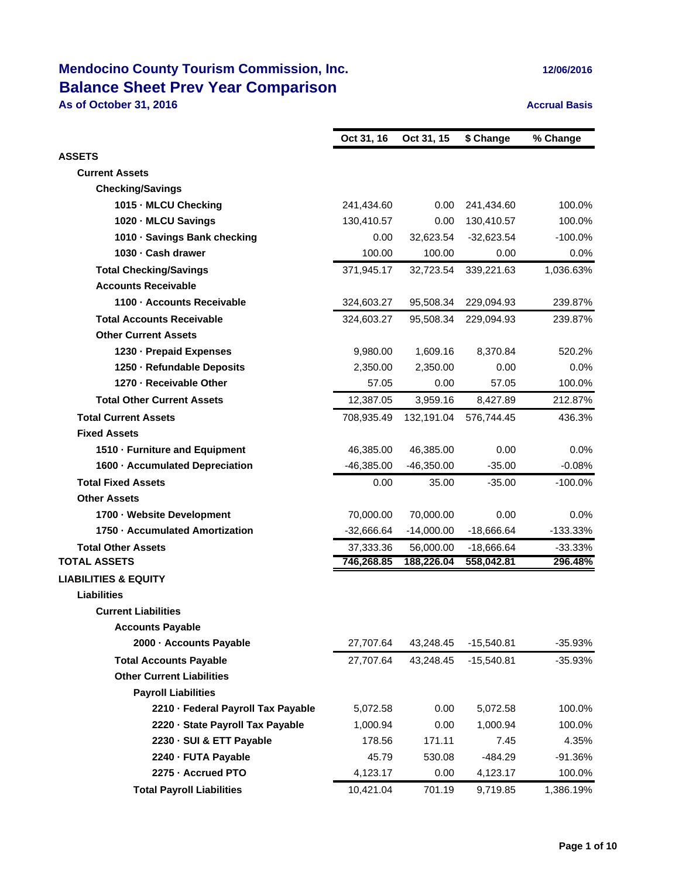## **Mendocino County Tourism Commission, Inc. 12/06/2016 Balance Sheet Prev Year Comparison**

**As of October 31, 2016 Accrual Basis Accrual Basis** 

|                                    | Oct 31, 16   | Oct 31, 15   | \$ Change    | % Change   |
|------------------------------------|--------------|--------------|--------------|------------|
| <b>ASSETS</b>                      |              |              |              |            |
| <b>Current Assets</b>              |              |              |              |            |
| <b>Checking/Savings</b>            |              |              |              |            |
| 1015 - MLCU Checking               | 241,434.60   | 0.00         | 241,434.60   | 100.0%     |
| 1020 MLCU Savings                  | 130,410.57   | 0.00         | 130,410.57   | 100.0%     |
| 1010 Savings Bank checking         | 0.00         | 32,623.54    | $-32,623.54$ | $-100.0%$  |
| 1030 - Cash drawer                 | 100.00       | 100.00       | 0.00         | 0.0%       |
| <b>Total Checking/Savings</b>      | 371,945.17   | 32,723.54    | 339,221.63   | 1,036.63%  |
| <b>Accounts Receivable</b>         |              |              |              |            |
| 1100 Accounts Receivable           | 324,603.27   | 95,508.34    | 229,094.93   | 239.87%    |
| <b>Total Accounts Receivable</b>   | 324,603.27   | 95,508.34    | 229,094.93   | 239.87%    |
| <b>Other Current Assets</b>        |              |              |              |            |
| 1230 - Prepaid Expenses            | 9,980.00     | 1,609.16     | 8,370.84     | 520.2%     |
| 1250 Refundable Deposits           | 2,350.00     | 2,350.00     | 0.00         | 0.0%       |
| 1270 - Receivable Other            | 57.05        | 0.00         | 57.05        | 100.0%     |
| <b>Total Other Current Assets</b>  | 12,387.05    | 3,959.16     | 8,427.89     | 212.87%    |
| <b>Total Current Assets</b>        | 708,935.49   | 132,191.04   | 576.744.45   | 436.3%     |
| <b>Fixed Assets</b>                |              |              |              |            |
| 1510 - Furniture and Equipment     | 46,385.00    | 46,385.00    | 0.00         | $0.0\%$    |
| 1600 Accumulated Depreciation      | $-46,385.00$ | $-46,350.00$ | $-35.00$     | $-0.08%$   |
| <b>Total Fixed Assets</b>          | 0.00         | 35.00        | $-35.00$     | $-100.0%$  |
| <b>Other Assets</b>                |              |              |              |            |
| 1700 Website Development           | 70,000.00    | 70,000.00    | 0.00         | $0.0\%$    |
| 1750 Accumulated Amortization      | $-32,666.64$ | $-14,000.00$ | $-18,666.64$ | $-133.33%$ |
| <b>Total Other Assets</b>          | 37,333.36    | 56,000.00    | $-18,666.64$ | $-33.33%$  |
| <b>TOTAL ASSETS</b>                | 746,268.85   | 188,226.04   | 558,042.81   | 296.48%    |
| <b>LIABILITIES &amp; EQUITY</b>    |              |              |              |            |
| Liabilities                        |              |              |              |            |
| <b>Current Liabilities</b>         |              |              |              |            |
| <b>Accounts Payable</b>            |              |              |              |            |
| 2000 - Accounts Payable            | 27,707.64    | 43,248.45    | $-15,540.81$ | $-35.93%$  |
| <b>Total Accounts Payable</b>      | 27,707.64    | 43,248.45    | $-15,540.81$ | $-35.93%$  |
| <b>Other Current Liabilities</b>   |              |              |              |            |
| <b>Payroll Liabilities</b>         |              |              |              |            |
| 2210 - Federal Payroll Tax Payable | 5,072.58     | 0.00         | 5,072.58     | 100.0%     |
| 2220 - State Payroll Tax Payable   | 1,000.94     | 0.00         | 1,000.94     | 100.0%     |
| 2230 - SUI & ETT Payable           | 178.56       | 171.11       | 7.45         | 4.35%      |
| 2240 - FUTA Payable                | 45.79        | 530.08       | -484.29      | $-91.36%$  |
| 2275 - Accrued PTO                 | 4,123.17     | 0.00         | 4,123.17     | 100.0%     |
| <b>Total Payroll Liabilities</b>   | 10,421.04    | 701.19       | 9,719.85     | 1,386.19%  |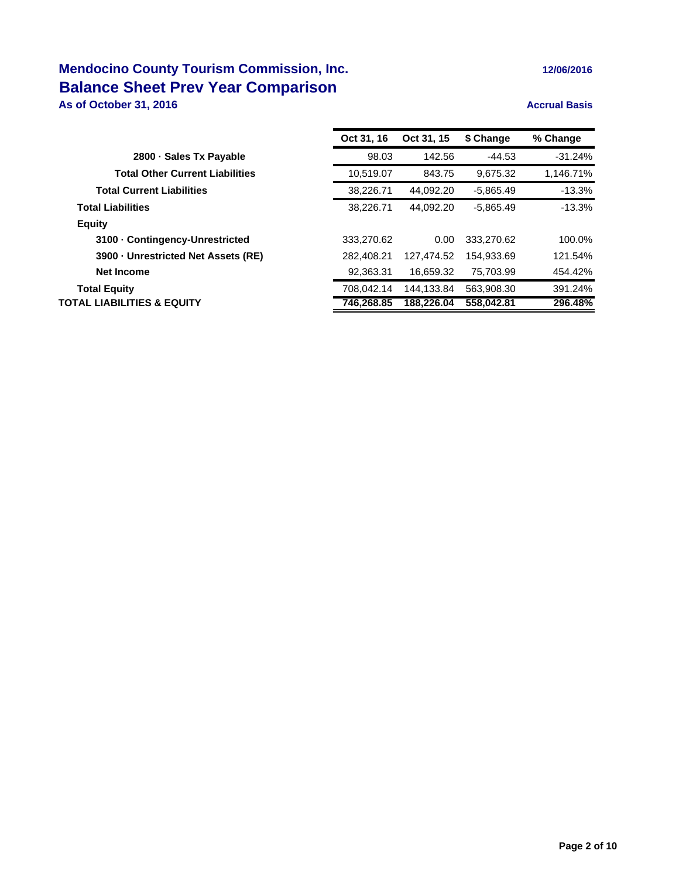## **Mendocino County Tourism Commission, Inc. 12/06/2016 Balance Sheet Prev Year Comparison**

### **As of October 31, 2016 Accrual Basis Accrual Basis**

|                                        | Oct 31, 16 | Oct 31, 15 | \$ Change   | % Change  |
|----------------------------------------|------------|------------|-------------|-----------|
| 2800 · Sales Tx Payable                | 98.03      | 142.56     | $-44.53$    | $-31.24%$ |
| <b>Total Other Current Liabilities</b> | 10,519.07  | 843.75     | 9.675.32    | 1,146.71% |
| <b>Total Current Liabilities</b>       | 38,226.71  | 44,092.20  | $-5,865.49$ | $-13.3%$  |
| <b>Total Liabilities</b>               | 38.226.71  | 44.092.20  | $-5.865.49$ | $-13.3%$  |
| <b>Equity</b>                          |            |            |             |           |
| 3100 Contingency-Unrestricted          | 333.270.62 | 0.00       | 333,270.62  | 100.0%    |
| 3900 Unrestricted Net Assets (RE)      | 282.408.21 | 127.474.52 | 154.933.69  | 121.54%   |
| <b>Net Income</b>                      | 92,363.31  | 16.659.32  | 75.703.99   | 454.42%   |
| <b>Total Equity</b>                    | 708,042.14 | 144.133.84 | 563,908.30  | 391.24%   |
| TOTAL LIABILITIES & EQUITY             | 746,268.85 | 188,226.04 | 558,042.81  | 296.48%   |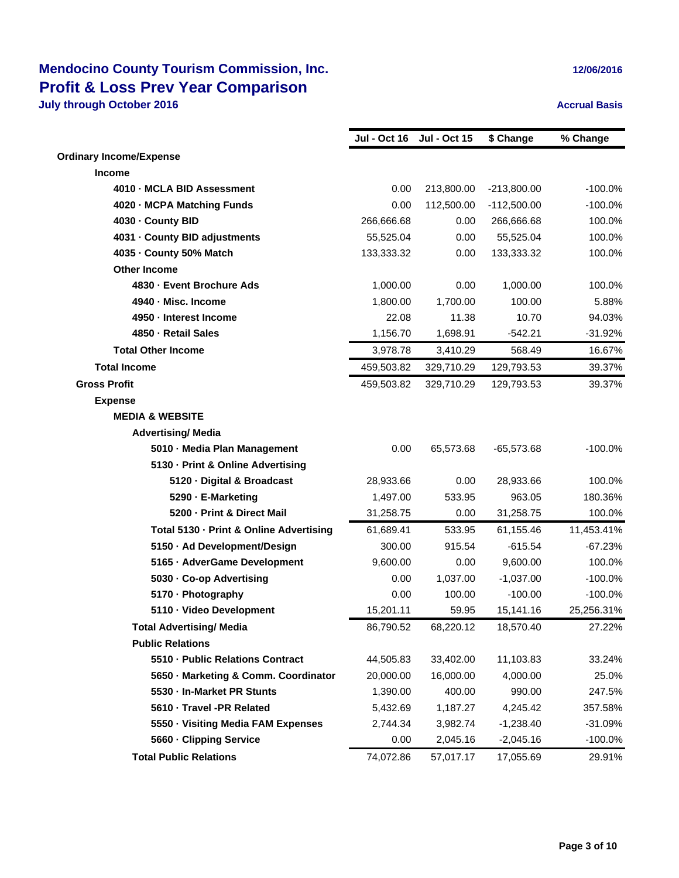|                                         | <b>Jul - Oct 16</b> | <b>Jul - Oct 15</b> | \$ Change     | % Change   |
|-----------------------------------------|---------------------|---------------------|---------------|------------|
| <b>Ordinary Income/Expense</b>          |                     |                     |               |            |
| Income                                  |                     |                     |               |            |
| 4010 - MCLA BID Assessment              | 0.00                | 213,800.00          | $-213,800.00$ | $-100.0%$  |
| 4020 - MCPA Matching Funds              | 0.00                | 112,500.00          | $-112,500.00$ | $-100.0%$  |
| 4030 - County BID                       | 266,666.68          | 0.00                | 266,666.68    | 100.0%     |
| 4031 - County BID adjustments           | 55,525.04           | 0.00                | 55,525.04     | 100.0%     |
| 4035 - County 50% Match                 | 133,333.32          | 0.00                | 133,333.32    | 100.0%     |
| <b>Other Income</b>                     |                     |                     |               |            |
| 4830 - Event Brochure Ads               | 1,000.00            | 0.00                | 1,000.00      | 100.0%     |
| 4940 - Misc. Income                     | 1,800.00            | 1,700.00            | 100.00        | 5.88%      |
| 4950 - Interest Income                  | 22.08               | 11.38               | 10.70         | 94.03%     |
| 4850 - Retail Sales                     | 1,156.70            | 1,698.91            | $-542.21$     | $-31.92%$  |
| <b>Total Other Income</b>               | 3,978.78            | 3,410.29            | 568.49        | 16.67%     |
| <b>Total Income</b>                     | 459,503.82          | 329,710.29          | 129,793.53    | 39.37%     |
| <b>Gross Profit</b>                     | 459,503.82          | 329,710.29          | 129,793.53    | 39.37%     |
| <b>Expense</b>                          |                     |                     |               |            |
| <b>MEDIA &amp; WEBSITE</b>              |                     |                     |               |            |
| <b>Advertising/ Media</b>               |                     |                     |               |            |
| 5010 - Media Plan Management            | 0.00                | 65,573.68           | $-65,573.68$  | $-100.0%$  |
| 5130 - Print & Online Advertising       |                     |                     |               |            |
| 5120 - Digital & Broadcast              | 28,933.66           | 0.00                | 28,933.66     | 100.0%     |
| 5290 - E-Marketing                      | 1,497.00            | 533.95              | 963.05        | 180.36%    |
| 5200 - Print & Direct Mail              | 31,258.75           | 0.00                | 31,258.75     | 100.0%     |
| Total 5130 - Print & Online Advertising | 61,689.41           | 533.95              | 61,155.46     | 11,453.41% |
| 5150 · Ad Development/Design            | 300.00              | 915.54              | $-615.54$     | $-67.23%$  |
| 5165 · AdverGame Development            | 9,600.00            | 0.00                | 9,600.00      | 100.0%     |
| 5030 - Co-op Advertising                | 0.00                | 1,037.00            | $-1,037.00$   | $-100.0%$  |
| 5170 - Photography                      | 0.00                | 100.00              | $-100.00$     | $-100.0%$  |
| 5110 · Video Development                | 15,201.11           | 59.95               | 15,141.16     | 25,256.31% |
| <b>Total Advertising/ Media</b>         | 86,790.52           | 68,220.12           | 18,570.40     | 27.22%     |
| <b>Public Relations</b>                 |                     |                     |               |            |
| 5510 - Public Relations Contract        | 44,505.83           | 33,402.00           | 11,103.83     | 33.24%     |
| 5650 - Marketing & Comm. Coordinator    | 20,000.00           | 16,000.00           | 4,000.00      | 25.0%      |
| 5530 - In-Market PR Stunts              | 1,390.00            | 400.00              | 990.00        | 247.5%     |
| 5610 - Travel -PR Related               | 5,432.69            | 1,187.27            | 4,245.42      | 357.58%    |
| 5550 - Visiting Media FAM Expenses      | 2,744.34            | 3,982.74            | $-1,238.40$   | $-31.09%$  |
| 5660 - Clipping Service                 | 0.00                | 2,045.16            | $-2,045.16$   | $-100.0\%$ |
| <b>Total Public Relations</b>           | 74,072.86           | 57,017.17           | 17,055.69     | 29.91%     |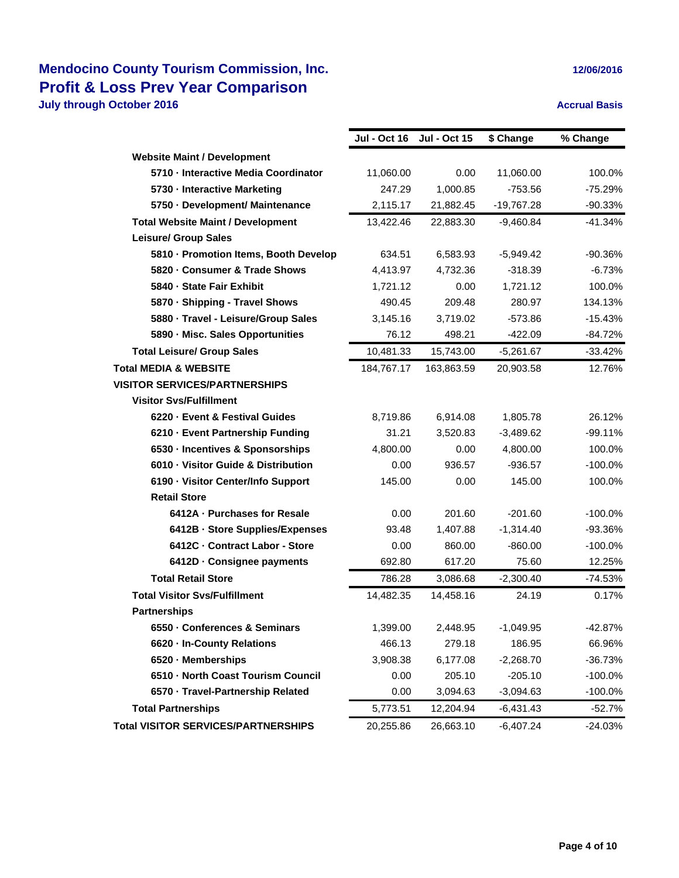|                                            | Jul - Oct 16 | <b>Jul - Oct 15</b> | \$ Change    | % Change   |
|--------------------------------------------|--------------|---------------------|--------------|------------|
| <b>Website Maint / Development</b>         |              |                     |              |            |
| 5710 - Interactive Media Coordinator       | 11,060.00    | 0.00                | 11,060.00    | 100.0%     |
| 5730 - Interactive Marketing               | 247.29       | 1,000.85            | $-753.56$    | $-75.29%$  |
| 5750 - Development/ Maintenance            | 2,115.17     | 21,882.45           | $-19,767.28$ | $-90.33%$  |
| <b>Total Website Maint / Development</b>   | 13,422.46    | 22,883.30           | $-9,460.84$  | $-41.34%$  |
| <b>Leisure/ Group Sales</b>                |              |                     |              |            |
| 5810 - Promotion Items, Booth Develop      | 634.51       | 6,583.93            | $-5,949.42$  | -90.36%    |
| 5820 - Consumer & Trade Shows              | 4,413.97     | 4,732.36            | $-318.39$    | $-6.73%$   |
| 5840 - State Fair Exhibit                  | 1,721.12     | 0.00                | 1,721.12     | 100.0%     |
| 5870 - Shipping - Travel Shows             | 490.45       | 209.48              | 280.97       | 134.13%    |
| 5880 - Travel - Leisure/Group Sales        | 3,145.16     | 3,719.02            | $-573.86$    | $-15.43%$  |
| 5890 - Misc. Sales Opportunities           | 76.12        | 498.21              | $-422.09$    | -84.72%    |
| <b>Total Leisure/ Group Sales</b>          | 10,481.33    | 15,743.00           | $-5,261.67$  | $-33.42%$  |
| <b>Total MEDIA &amp; WEBSITE</b>           | 184,767.17   | 163,863.59          | 20,903.58    | 12.76%     |
| <b>VISITOR SERVICES/PARTNERSHIPS</b>       |              |                     |              |            |
| <b>Visitor Svs/Fulfillment</b>             |              |                     |              |            |
| 6220 - Event & Festival Guides             | 8,719.86     | 6,914.08            | 1,805.78     | 26.12%     |
| 6210 - Event Partnership Funding           | 31.21        | 3,520.83            | $-3,489.62$  | $-99.11%$  |
| 6530 - Incentives & Sponsorships           | 4,800.00     | 0.00                | 4,800.00     | 100.0%     |
| 6010 - Visitor Guide & Distribution        | 0.00         | 936.57              | $-936.57$    | $-100.0%$  |
| 6190 - Visitor Center/Info Support         | 145.00       | 0.00                | 145.00       | 100.0%     |
| <b>Retail Store</b>                        |              |                     |              |            |
| 6412A - Purchases for Resale               | 0.00         | 201.60              | $-201.60$    | $-100.0%$  |
| 6412B - Store Supplies/Expenses            | 93.48        | 1,407.88            | $-1,314.40$  | -93.36%    |
| 6412C - Contract Labor - Store             | 0.00         | 860.00              | $-860.00$    | $-100.0%$  |
| 6412D Consignee payments                   | 692.80       | 617.20              | 75.60        | 12.25%     |
| <b>Total Retail Store</b>                  | 786.28       | 3,086.68            | $-2,300.40$  | $-74.53%$  |
| <b>Total Visitor Svs/Fulfillment</b>       | 14,482.35    | 14,458.16           | 24.19        | 0.17%      |
| <b>Partnerships</b>                        |              |                     |              |            |
| 6550 - Conferences & Seminars              | 1,399.00     | 2,448.95            | $-1,049.95$  | $-42.87%$  |
| 6620 - In-County Relations                 | 466.13       | 279.18              | 186.95       | 66.96%     |
| 6520 - Memberships                         | 3,908.38     | 6,177.08            | $-2,268.70$  | $-36.73%$  |
| 6510 - North Coast Tourism Council         | 0.00         | 205.10              | $-205.10$    | $-100.0\%$ |
| 6570 - Travel-Partnership Related          | 0.00         | 3,094.63            | $-3,094.63$  | $-100.0\%$ |
| <b>Total Partnerships</b>                  | 5,773.51     | 12,204.94           | -6,431.43    | -52.7%     |
| <b>Total VISITOR SERVICES/PARTNERSHIPS</b> | 20,255.86    | 26,663.10           | $-6,407.24$  | $-24.03%$  |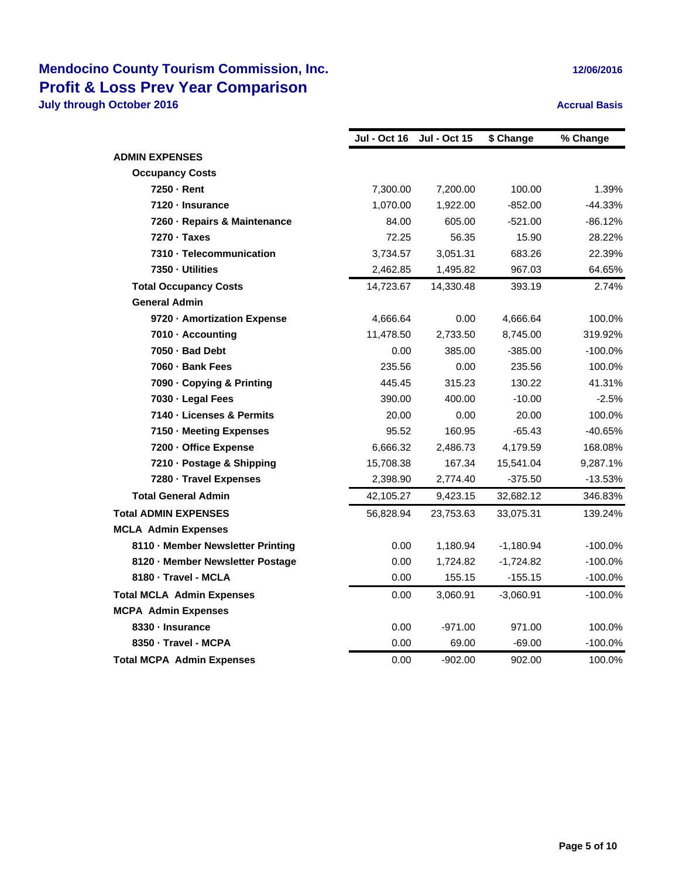|                                   | <b>Jul - Oct 16</b> | <b>Jul - Oct 15</b> | \$ Change   | % Change   |
|-----------------------------------|---------------------|---------------------|-------------|------------|
| <b>ADMIN EXPENSES</b>             |                     |                     |             |            |
| <b>Occupancy Costs</b>            |                     |                     |             |            |
| 7250 - Rent                       | 7,300.00            | 7,200.00            | 100.00      | 1.39%      |
| 7120 - Insurance                  | 1,070.00            | 1,922.00            | $-852.00$   | $-44.33%$  |
| 7260 - Repairs & Maintenance      | 84.00               | 605.00              | $-521.00$   | $-86.12%$  |
| 7270 · Taxes                      | 72.25               | 56.35               | 15.90       | 28.22%     |
| 7310 - Telecommunication          | 3,734.57            | 3,051.31            | 683.26      | 22.39%     |
| 7350 - Utilities                  | 2,462.85            | 1,495.82            | 967.03      | 64.65%     |
| <b>Total Occupancy Costs</b>      | 14,723.67           | 14,330.48           | 393.19      | 2.74%      |
| <b>General Admin</b>              |                     |                     |             |            |
| 9720 - Amortization Expense       | 4,666.64            | 0.00                | 4,666.64    | 100.0%     |
| 7010 - Accounting                 | 11,478.50           | 2,733.50            | 8,745.00    | 319.92%    |
| 7050 - Bad Debt                   | 0.00                | 385.00              | $-385.00$   | $-100.0%$  |
| 7060 - Bank Fees                  | 235.56              | 0.00                | 235.56      | 100.0%     |
| 7090 - Copying & Printing         | 445.45              | 315.23              | 130.22      | 41.31%     |
| 7030 - Legal Fees                 | 390.00              | 400.00              | $-10.00$    | $-2.5%$    |
| 7140 - Licenses & Permits         | 20.00               | 0.00                | 20.00       | 100.0%     |
| 7150 - Meeting Expenses           | 95.52               | 160.95              | $-65.43$    | -40.65%    |
| 7200 - Office Expense             | 6,666.32            | 2,486.73            | 4,179.59    | 168.08%    |
| 7210 - Postage & Shipping         | 15,708.38           | 167.34              | 15,541.04   | 9,287.1%   |
| 7280 - Travel Expenses            | 2,398.90            | 2,774.40            | $-375.50$   | $-13.53%$  |
| <b>Total General Admin</b>        | 42,105.27           | 9,423.15            | 32,682.12   | 346.83%    |
| <b>Total ADMIN EXPENSES</b>       | 56,828.94           | 23,753.63           | 33,075.31   | 139.24%    |
| <b>MCLA Admin Expenses</b>        |                     |                     |             |            |
| 8110 - Member Newsletter Printing | 0.00                | 1,180.94            | $-1,180.94$ | $-100.0\%$ |
| 8120 - Member Newsletter Postage  | 0.00                | 1,724.82            | $-1,724.82$ | $-100.0%$  |
| 8180 - Travel - MCLA              | 0.00                | 155.15              | $-155.15$   | $-100.0%$  |
| <b>Total MCLA Admin Expenses</b>  | 0.00                | 3,060.91            | $-3,060.91$ | $-100.0\%$ |
| <b>MCPA Admin Expenses</b>        |                     |                     |             |            |
| 8330 - Insurance                  | 0.00                | $-971.00$           | 971.00      | 100.0%     |
| 8350 - Travel - MCPA              | 0.00                | 69.00               | $-69.00$    | $-100.0%$  |
| <b>Total MCPA Admin Expenses</b>  | 0.00                | $-902.00$           | 902.00      | 100.0%     |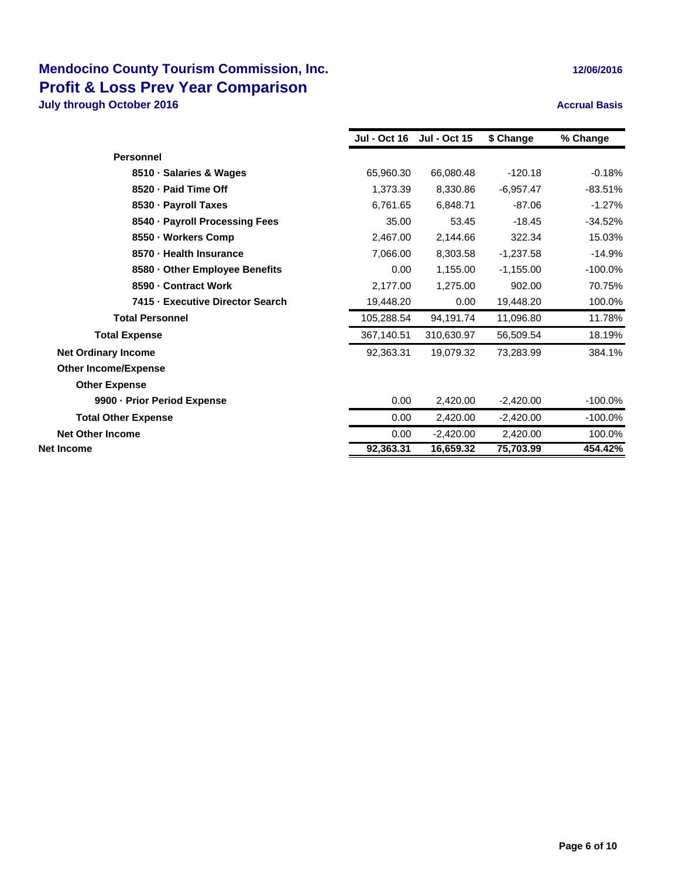|                                  | <b>Jul - Oct 16</b> | <b>Jul - Oct 15</b> | \$ Change   | % Change  |
|----------------------------------|---------------------|---------------------|-------------|-----------|
| <b>Personnel</b>                 |                     |                     |             |           |
| 8510 · Salaries & Wages          | 65,960.30           | 66,080.48           | $-120.18$   | $-0.18%$  |
| 8520 - Paid Time Off             | 1,373.39            | 8,330.86            | $-6,957.47$ | $-83.51%$ |
| 8530 - Payroll Taxes             | 6,761.65            | 6,848.71            | $-87.06$    | $-1.27%$  |
| 8540 · Payroll Processing Fees   | 35.00               | 53.45               | $-18.45$    | $-34.52%$ |
| 8550 · Workers Comp              | 2,467.00            | 2,144.66            | 322.34      | 15.03%    |
| 8570 - Health Insurance          | 7,066.00            | 8,303.58            | $-1,237.58$ | $-14.9%$  |
| 8580 - Other Employee Benefits   | 0.00                | 1,155.00            | $-1,155.00$ | $-100.0%$ |
| 8590 - Contract Work             | 2,177.00            | 1,275.00            | 902.00      | 70.75%    |
| 7415 - Executive Director Search | 19,448.20           | 0.00                | 19,448.20   | 100.0%    |
| <b>Total Personnel</b>           | 105,288.54          | 94,191.74           | 11,096.80   | 11.78%    |
| <b>Total Expense</b>             | 367,140.51          | 310,630.97          | 56,509.54   | 18.19%    |
| <b>Net Ordinary Income</b>       | 92,363.31           | 19,079.32           | 73,283.99   | 384.1%    |
| <b>Other Income/Expense</b>      |                     |                     |             |           |
| <b>Other Expense</b>             |                     |                     |             |           |
| 9900 - Prior Period Expense      | 0.00                | 2,420.00            | $-2,420.00$ | $-100.0%$ |
| <b>Total Other Expense</b>       | 0.00                | 2,420.00            | $-2,420.00$ | $-100.0%$ |
| <b>Net Other Income</b>          | 0.00                | $-2,420.00$         | 2,420.00    | 100.0%    |
| Net Income                       | 92,363.31           | 16,659.32           | 75,703.99   | 454.42%   |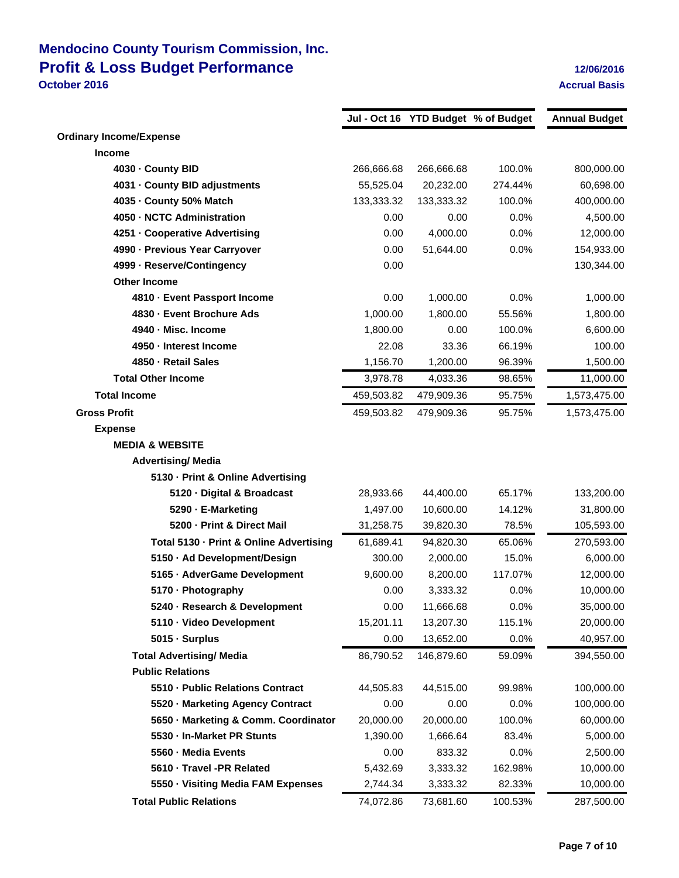### **Mendocino County Tourism Commission, Inc. Profit & Loss Budget Performance 12/06/2016 October 2016 Accrual Basis**

|                                         |            |            | Jul - Oct 16 YTD Budget % of Budget | <b>Annual Budget</b> |
|-----------------------------------------|------------|------------|-------------------------------------|----------------------|
| <b>Ordinary Income/Expense</b>          |            |            |                                     |                      |
| <b>Income</b>                           |            |            |                                     |                      |
| 4030 - County BID                       | 266,666.68 | 266,666.68 | 100.0%                              | 800,000.00           |
| 4031 - County BID adjustments           | 55,525.04  | 20,232.00  | 274.44%                             | 60,698.00            |
| 4035 - County 50% Match                 | 133,333.32 | 133,333.32 | 100.0%                              | 400,000.00           |
| 4050 - NCTC Administration              | 0.00       | 0.00       | 0.0%                                | 4,500.00             |
| 4251 - Cooperative Advertising          | 0.00       | 4,000.00   | 0.0%                                | 12,000.00            |
| 4990 - Previous Year Carryover          | 0.00       | 51,644.00  | 0.0%                                | 154,933.00           |
| 4999 - Reserve/Contingency              | 0.00       |            |                                     | 130,344.00           |
| <b>Other Income</b>                     |            |            |                                     |                      |
| 4810 - Event Passport Income            | 0.00       | 1,000.00   | 0.0%                                | 1,000.00             |
| 4830 - Event Brochure Ads               | 1,000.00   | 1,800.00   | 55.56%                              | 1,800.00             |
| 4940 - Misc. Income                     | 1,800.00   | 0.00       | 100.0%                              | 6,600.00             |
| 4950 - Interest Income                  | 22.08      | 33.36      | 66.19%                              | 100.00               |
| 4850 - Retail Sales                     | 1,156.70   | 1,200.00   | 96.39%                              | 1,500.00             |
| <b>Total Other Income</b>               | 3,978.78   | 4,033.36   | 98.65%                              | 11,000.00            |
| <b>Total Income</b>                     | 459,503.82 | 479,909.36 | 95.75%                              | 1,573,475.00         |
| <b>Gross Profit</b>                     | 459,503.82 | 479,909.36 | 95.75%                              | 1,573,475.00         |
| <b>Expense</b>                          |            |            |                                     |                      |
| <b>MEDIA &amp; WEBSITE</b>              |            |            |                                     |                      |
| <b>Advertising/ Media</b>               |            |            |                                     |                      |
| 5130 - Print & Online Advertising       |            |            |                                     |                      |
| 5120 Digital & Broadcast                | 28,933.66  | 44,400.00  | 65.17%                              | 133,200.00           |
| 5290 - E-Marketing                      | 1,497.00   | 10,600.00  | 14.12%                              | 31,800.00            |
| 5200 - Print & Direct Mail              | 31,258.75  | 39,820.30  | 78.5%                               | 105,593.00           |
| Total 5130 - Print & Online Advertising | 61,689.41  | 94,820.30  | 65.06%                              | 270,593.00           |
| 5150 - Ad Development/Design            | 300.00     | 2,000.00   | 15.0%                               | 6,000.00             |
| 5165 - AdverGame Development            | 9,600.00   | 8,200.00   | 117.07%                             | 12,000.00            |
| 5170 - Photography                      | 0.00       | 3,333.32   | 0.0%                                | 10,000.00            |
| 5240 - Research & Development           | 0.00       | 11,666.68  | $0.0\%$                             | 35,000.00            |
| 5110 · Video Development                | 15,201.11  | 13,207.30  | 115.1%                              | 20,000.00            |
| 5015 · Surplus                          | 0.00       | 13,652.00  | 0.0%                                | 40,957.00            |
| <b>Total Advertising/ Media</b>         | 86,790.52  | 146,879.60 | 59.09%                              | 394,550.00           |
| <b>Public Relations</b>                 |            |            |                                     |                      |
| 5510 - Public Relations Contract        | 44,505.83  | 44,515.00  | 99.98%                              | 100,000.00           |
| 5520 - Marketing Agency Contract        | 0.00       | 0.00       | 0.0%                                | 100,000.00           |
| 5650 - Marketing & Comm. Coordinator    | 20,000.00  | 20,000.00  | 100.0%                              | 60,000.00            |
| 5530 - In-Market PR Stunts              | 1,390.00   | 1,666.64   | 83.4%                               | 5,000.00             |
| 5560 - Media Events                     | 0.00       | 833.32     | 0.0%                                | 2,500.00             |
| 5610 - Travel -PR Related               | 5,432.69   | 3,333.32   | 162.98%                             | 10,000.00            |
| 5550 - Visiting Media FAM Expenses      | 2,744.34   | 3,333.32   | 82.33%                              | 10,000.00            |
| <b>Total Public Relations</b>           | 74,072.86  | 73,681.60  | 100.53%                             | 287,500.00           |
|                                         |            |            |                                     |                      |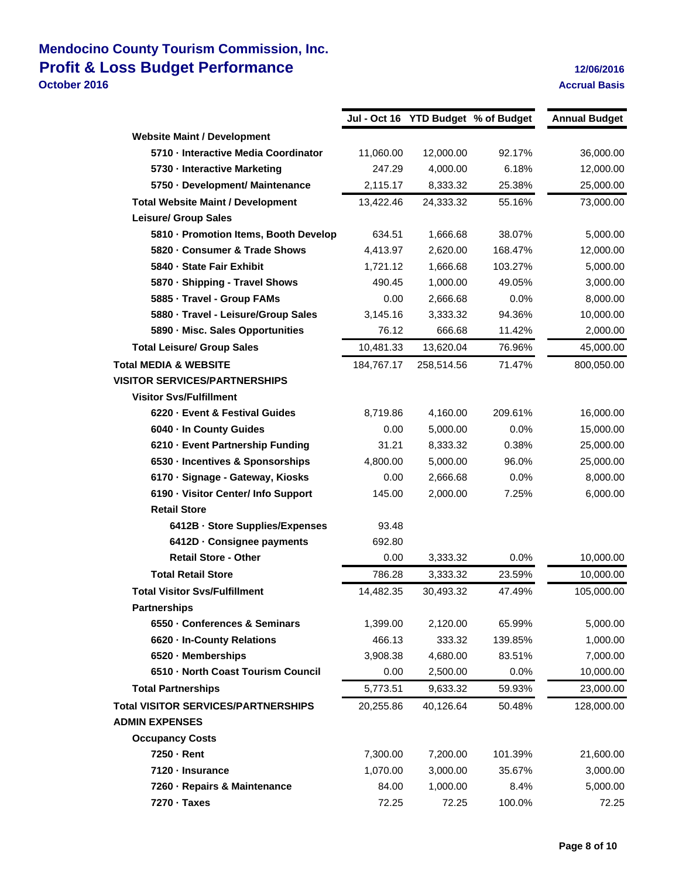## **Mendocino County Tourism Commission, Inc. Profit & Loss Budget Performance 12/06/2016 October 2016 Accrual Basis**

|                                            |            | Jul - Oct 16 YTD Budget % of Budget |         | <b>Annual Budget</b> |
|--------------------------------------------|------------|-------------------------------------|---------|----------------------|
| <b>Website Maint / Development</b>         |            |                                     |         |                      |
| 5710 - Interactive Media Coordinator       | 11,060.00  | 12,000.00                           | 92.17%  | 36,000.00            |
| 5730 - Interactive Marketing               | 247.29     | 4,000.00                            | 6.18%   | 12,000.00            |
| 5750 - Development/ Maintenance            | 2,115.17   | 8,333.32                            | 25.38%  | 25,000.00            |
| <b>Total Website Maint / Development</b>   | 13,422.46  | 24,333.32                           | 55.16%  | 73,000.00            |
| <b>Leisure/ Group Sales</b>                |            |                                     |         |                      |
| 5810 - Promotion Items, Booth Develop      | 634.51     | 1,666.68                            | 38.07%  | 5,000.00             |
| 5820 - Consumer & Trade Shows              | 4,413.97   | 2,620.00                            | 168.47% | 12,000.00            |
| 5840 - State Fair Exhibit                  | 1,721.12   | 1,666.68                            | 103.27% | 5,000.00             |
| 5870 - Shipping - Travel Shows             | 490.45     | 1,000.00                            | 49.05%  | 3,000.00             |
| 5885 - Travel - Group FAMs                 | 0.00       | 2,666.68                            | 0.0%    | 8,000.00             |
| 5880 · Travel - Leisure/Group Sales        | 3,145.16   | 3,333.32                            | 94.36%  | 10,000.00            |
| 5890 - Misc. Sales Opportunities           | 76.12      | 666.68                              | 11.42%  | 2,000.00             |
| <b>Total Leisure/ Group Sales</b>          | 10,481.33  | 13,620.04                           | 76.96%  | 45,000.00            |
| <b>Total MEDIA &amp; WEBSITE</b>           | 184,767.17 | 258,514.56                          | 71.47%  | 800,050.00           |
| <b>VISITOR SERVICES/PARTNERSHIPS</b>       |            |                                     |         |                      |
| <b>Visitor Svs/Fulfillment</b>             |            |                                     |         |                      |
| 6220 - Event & Festival Guides             | 8,719.86   | 4,160.00                            | 209.61% | 16,000.00            |
| 6040 - In County Guides                    | 0.00       | 5,000.00                            | 0.0%    | 15,000.00            |
| 6210 - Event Partnership Funding           | 31.21      | 8,333.32                            | 0.38%   | 25,000.00            |
| 6530 - Incentives & Sponsorships           | 4,800.00   | 5,000.00                            | 96.0%   | 25,000.00            |
| 6170 · Signage - Gateway, Kiosks           | 0.00       | 2,666.68                            | 0.0%    | 8,000.00             |
| 6190 - Visitor Center/ Info Support        | 145.00     | 2,000.00                            | 7.25%   | 6,000.00             |
| <b>Retail Store</b>                        |            |                                     |         |                      |
| 6412B Store Supplies/Expenses              | 93.48      |                                     |         |                      |
| 6412D Consignee payments                   | 692.80     |                                     |         |                      |
| <b>Retail Store - Other</b>                | 0.00       | 3,333.32                            | 0.0%    | 10,000.00            |
| <b>Total Retail Store</b>                  | 786.28     | 3,333.32                            | 23.59%  | 10,000.00            |
| <b>Total Visitor Svs/Fulfillment</b>       | 14,482.35  | 30,493.32                           | 47.49%  | 105,000.00           |
| <b>Partnerships</b>                        |            |                                     |         |                      |
| 6550 - Conferences & Seminars              | 1,399.00   | 2,120.00                            | 65.99%  | 5,000.00             |
| 6620 - In-County Relations                 | 466.13     | 333.32                              | 139.85% | 1,000.00             |
| 6520 - Memberships                         | 3,908.38   | 4,680.00                            | 83.51%  | 7,000.00             |
| 6510 - North Coast Tourism Council         | 0.00       | 2,500.00                            | 0.0%    | 10,000.00            |
| <b>Total Partnerships</b>                  | 5,773.51   | 9,633.32                            | 59.93%  | 23,000.00            |
| <b>Total VISITOR SERVICES/PARTNERSHIPS</b> | 20,255.86  | 40,126.64                           | 50.48%  | 128,000.00           |
| <b>ADMIN EXPENSES</b>                      |            |                                     |         |                      |
| <b>Occupancy Costs</b>                     |            |                                     |         |                      |
| 7250 - Rent                                | 7,300.00   | 7,200.00                            | 101.39% | 21,600.00            |
| 7120 - Insurance                           | 1,070.00   | 3,000.00                            | 35.67%  | 3,000.00             |
| 7260 - Repairs & Maintenance               | 84.00      | 1,000.00                            | 8.4%    | 5,000.00             |
| 7270 - Taxes                               | 72.25      | 72.25                               | 100.0%  | 72.25                |
|                                            |            |                                     |         |                      |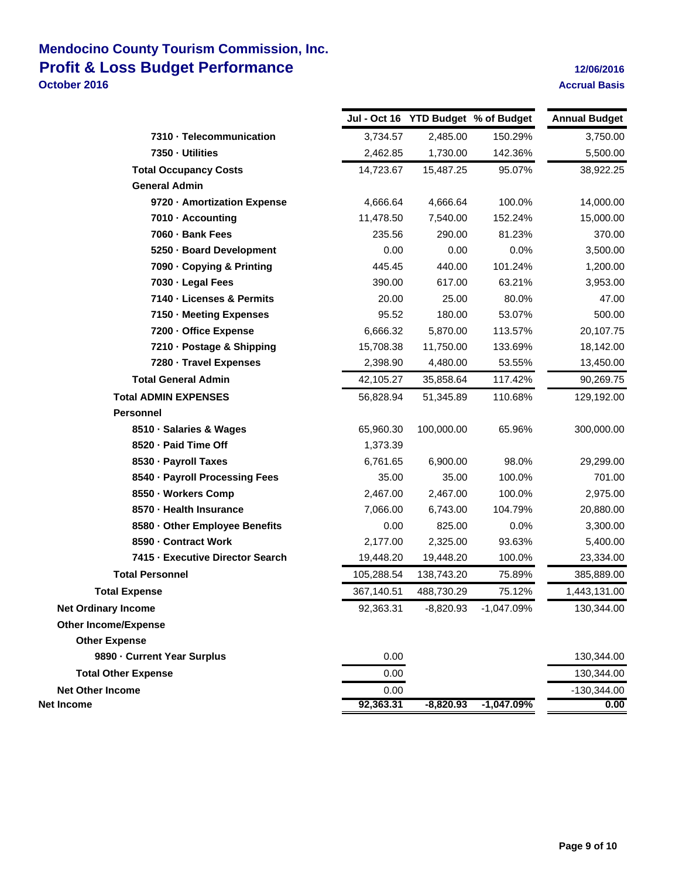### **Mendocino County Tourism Commission, Inc. Profit & Loss Budget Performance 12/06/2016 October 2016 Accrual Basis Accrual Basis**

|                                  |            |             | Jul - Oct 16 YTD Budget % of Budget | <b>Annual Budget</b> |
|----------------------------------|------------|-------------|-------------------------------------|----------------------|
| 7310 - Telecommunication         | 3,734.57   | 2,485.00    | 150.29%                             | 3,750.00             |
| 7350 - Utilities                 | 2,462.85   | 1,730.00    | 142.36%                             | 5,500.00             |
| <b>Total Occupancy Costs</b>     | 14,723.67  | 15,487.25   | 95.07%                              | 38,922.25            |
| <b>General Admin</b>             |            |             |                                     |                      |
| 9720 - Amortization Expense      | 4,666.64   | 4,666.64    | 100.0%                              | 14,000.00            |
| 7010 - Accounting                | 11,478.50  | 7,540.00    | 152.24%                             | 15,000.00            |
| 7060 - Bank Fees                 | 235.56     | 290.00      | 81.23%                              | 370.00               |
| 5250 - Board Development         | 0.00       | 0.00        | 0.0%                                | 3,500.00             |
| 7090 - Copying & Printing        | 445.45     | 440.00      | 101.24%                             | 1,200.00             |
| 7030 - Legal Fees                | 390.00     | 617.00      | 63.21%                              | 3,953.00             |
| 7140 - Licenses & Permits        | 20.00      | 25.00       | 80.0%                               | 47.00                |
| 7150 - Meeting Expenses          | 95.52      | 180.00      | 53.07%                              | 500.00               |
| 7200 - Office Expense            | 6,666.32   | 5,870.00    | 113.57%                             | 20,107.75            |
| 7210 - Postage & Shipping        | 15,708.38  | 11,750.00   | 133.69%                             | 18,142.00            |
| 7280 - Travel Expenses           | 2,398.90   | 4,480.00    | 53.55%                              | 13,450.00            |
| <b>Total General Admin</b>       | 42,105.27  | 35,858.64   | 117.42%                             | 90,269.75            |
| <b>Total ADMIN EXPENSES</b>      | 56,828.94  | 51,345.89   | 110.68%                             | 129,192.00           |
| <b>Personnel</b>                 |            |             |                                     |                      |
| 8510 - Salaries & Wages          | 65,960.30  | 100,000.00  | 65.96%                              | 300,000.00           |
| 8520 - Paid Time Off             | 1,373.39   |             |                                     |                      |
| 8530 - Payroll Taxes             | 6,761.65   | 6,900.00    | 98.0%                               | 29,299.00            |
| 8540 · Payroll Processing Fees   | 35.00      | 35.00       | 100.0%                              | 701.00               |
| 8550 - Workers Comp              | 2,467.00   | 2,467.00    | 100.0%                              | 2,975.00             |
| 8570 - Health Insurance          | 7,066.00   | 6,743.00    | 104.79%                             | 20,880.00            |
| 8580 - Other Employee Benefits   | 0.00       | 825.00      | 0.0%                                | 3,300.00             |
| 8590 - Contract Work             | 2,177.00   | 2,325.00    | 93.63%                              | 5,400.00             |
| 7415 - Executive Director Search | 19,448.20  | 19,448.20   | 100.0%                              | 23,334.00            |
| <b>Total Personnel</b>           | 105,288.54 | 138,743.20  | 75.89%                              | 385,889.00           |
| <b>Total Expense</b>             | 367,140.51 | 488,730.29  | 75.12%                              | 1,443,131.00         |
| <b>Net Ordinary Income</b>       | 92,363.31  | $-8,820.93$ | $-1,047.09%$                        | 130,344.00           |
| <b>Other Income/Expense</b>      |            |             |                                     |                      |
| <b>Other Expense</b>             |            |             |                                     |                      |
| 9890 Current Year Surplus        | 0.00       |             |                                     | 130,344.00           |
| <b>Total Other Expense</b>       | 0.00       |             |                                     | 130,344.00           |
| <b>Net Other Income</b>          | 0.00       |             |                                     | $-130,344.00$        |
| Net Income                       | 92,363.31  | $-8,820.93$ | $-1,047.09%$                        | 0.00                 |
|                                  |            |             |                                     |                      |